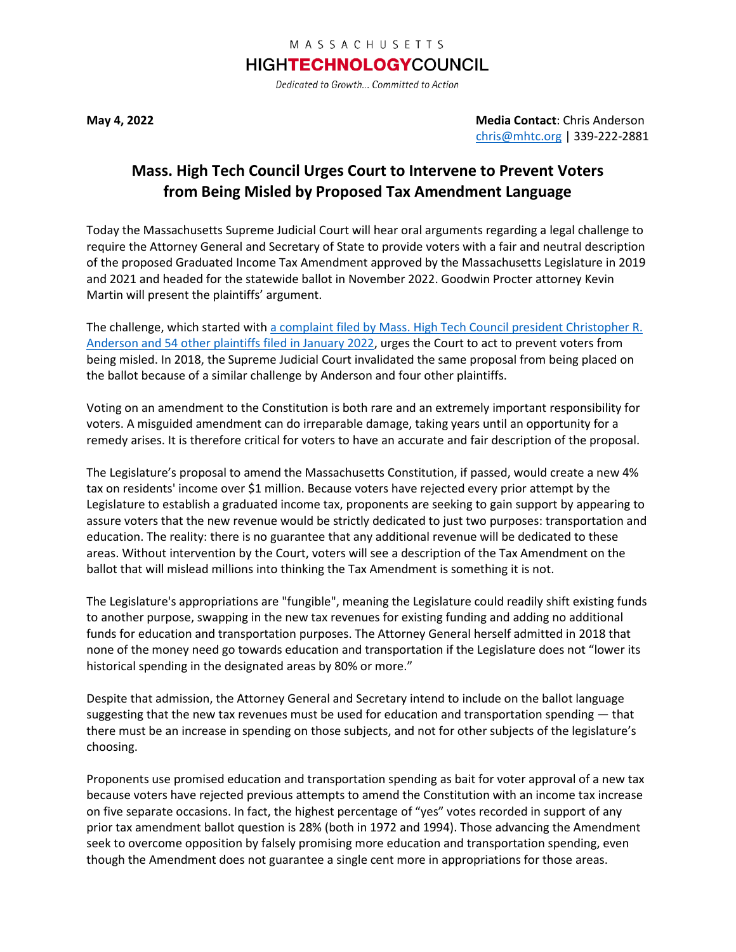## MASSACHUSETTS

## **HIGHTECHNOLOGYCOUNCIL**

Dedicated to Growth... Committed to Action

**May 4, 2022 Media Contact**: Chris Anderson [chris@mhtc.org](mailto:chris@mhtc.org) | 339-222-2881

## **Mass. High Tech Council Urges Court to Intervene to Prevent Voters from Being Misled by Proposed Tax Amendment Language**

Today the Massachusetts Supreme Judicial Court will hear oral arguments regarding a legal challenge to require the Attorney General and Secretary of State to provide voters with a fair and neutral description of the proposed Graduated Income Tax Amendment approved by the Massachusetts Legislature in 2019 and 2021 and headed for the statewide ballot in November 2022. Goodwin Procter attorney Kevin Martin will present the plaintiffs' argument.

The challenge, which started with a complaint filed by Mass. High Tech Council president Christopher R. [Anderson and 54 other plaintiffs filed in January](http://www.mhtc.org/wp-content/uploads/2022/01/MHTC-Complaint_1.27.22.pdf) 2022, urges the Court to act to prevent voters from being misled. In 2018, the Supreme Judicial Court invalidated the same proposal from being placed on the ballot because of a similar challenge by Anderson and four other plaintiffs.

Voting on an amendment to the Constitution is both rare and an extremely important responsibility for voters. A misguided amendment can do irreparable damage, taking years until an opportunity for a remedy arises. It is therefore critical for voters to have an accurate and fair description of the proposal.

The Legislature's proposal to amend the Massachusetts Constitution, if passed, would create a new 4% tax on residents' income over \$1 million. Because voters have rejected every prior attempt by the Legislature to establish a graduated income tax, proponents are seeking to gain support by appearing to assure voters that the new revenue would be strictly dedicated to just two purposes: transportation and education. The reality: there is no guarantee that any additional revenue will be dedicated to these areas. Without intervention by the Court, voters will see a description of the Tax Amendment on the ballot that will mislead millions into thinking the Tax Amendment is something it is not.

The Legislature's appropriations are "fungible", meaning the Legislature could readily shift existing funds to another purpose, swapping in the new tax revenues for existing funding and adding no additional funds for education and transportation purposes. The Attorney General herself admitted in 2018 that none of the money need go towards education and transportation if the Legislature does not "lower its historical spending in the designated areas by 80% or more."

Despite that admission, the Attorney General and Secretary intend to include on the ballot language suggesting that the new tax revenues must be used for education and transportation spending — that there must be an increase in spending on those subjects, and not for other subjects of the legislature's choosing.

Proponents use promised education and transportation spending as bait for voter approval of a new tax because voters have rejected previous attempts to amend the Constitution with an income tax increase on five separate occasions. In fact, the highest percentage of "yes" votes recorded in support of any prior tax amendment ballot question is 28% (both in 1972 and 1994). Those advancing the Amendment seek to overcome opposition by falsely promising more education and transportation spending, even though the Amendment does not guarantee a single cent more in appropriations for those areas.